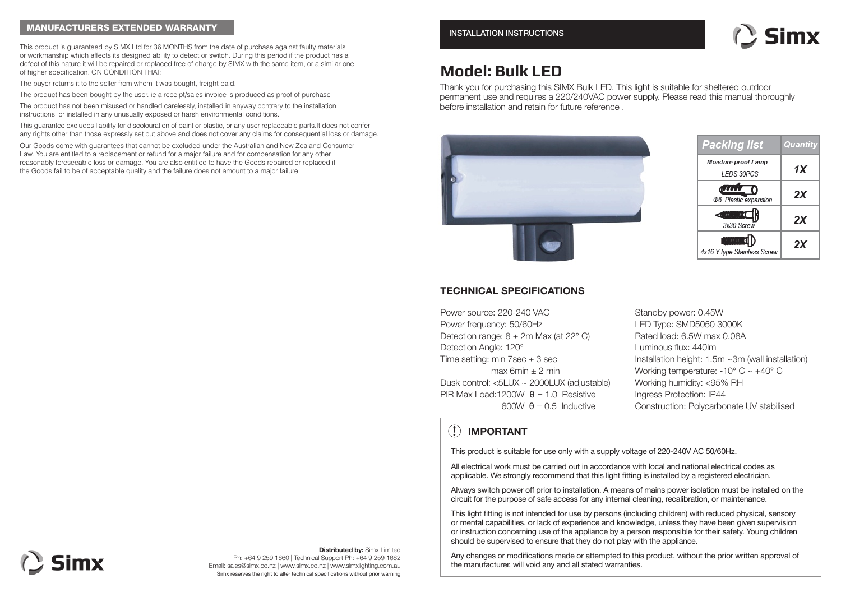#### MANUFACTURERS EXTENDED WARRANTY

This product is guaranteed by SIMX Ltd for 36 MONTHS from the date of purchase against faulty materials or workmanship which affects its designed ability to detect or switch. During this period if the product has a defect of this nature it will be repaired or replaced free of charge by SIMX with the same item, or a similar one of higher specification. ON CONDITION THAT:

The buyer returns it to the seller from whom it was bought, freight paid.

The product has been bought by the user. ie a receipt/sales invoice is produced as proof of purchase

The product has not been misused or handled carelessly, installed in anyway contrary to the installation instructions, or installed in any unusually exposed or harsh environmental conditions.

This guarantee excludes liability for discolouration of paint or plastic, or any user replaceable parts.It does not confer any rights other than those expressly set out above and does not cover any claims for consequential loss or damage.

Our Goods come with guarantees that cannot be excluded under the Australian and New Zealand Consumer Law. You are entitled to a replacement or refund for a major failure and for compensation for any other reasonably foreseeable loss or damage. You are also entitled to have the Goods repaired or replaced if the Goods fail to be of acceptable quality and the failure does not amount to a major failure.



# **Model: Bulk LED**

Thank you for purchasing this SIMX Bulk LED. This light is suitable for sheltered outdoor permanent use and requires a 220/240VAC power supply. Please read this manual thoroughly before installation and retain for future reference .





#### **TECHNICAL SPECIFICATIONS**

Power source: 220-240 VAC Power frequency: 50/60Hz Detection range:  $8 \pm 2m$  Max (at 22 $^{\circ}$  C) Detection Angle: 120° Time setting: min 7sec  $\pm$  3 sec max 6min  $\pm$  2 min Dusk control: <5LUX ~ 2000LUX (adjustable) PIR Max Load:1200W  $A = 1.0$  Resistive  $600W$   $\theta = 0.5$  Inductive

Standby power: 0.45W LED Type: SMD5050 3000K Rated load: 6.5W max 0.08A Luminous flux: 440lm Installation height: 1.5m ~3m (wall installation) Working temperature: -10° C ~ +40° C Working humidity: <95% RH Ingress Protection: IP44 Construction: Polycarbonate UV stabilised

### **! IMPORTANT**

This product is suitable for use only with a supply voltage of 220-240V AC 50/60Hz.

All electrical work must be carried out in accordance with local and national electrical codes as applicable. We strongly recommend that this light fitting is installed by a registered electrician.

Always switch power off prior to installation. A means of mains power isolation must be installed on the circuit for the purpose of safe access for any internal cleaning, recalibration, or maintenance.

This light fitting is not intended for use by persons (including children) with reduced physical, sensory or mental capabilities, or lack of experience and knowledge, unless they have been given supervision or instruction concerning use of the appliance by a person responsible for their safety. Young children should be supervised to ensure that they do not play with the appliance.

Any changes or modifications made or attempted to this product, without the prior written approval of the manufacturer, will void any and all stated warranties.

# **Simx**

**Distributed by:** Simx Limited Ph: +64 9 259 1660 | Technical Support Ph: +64 9 259 1662 Email: sales@simx.co.nz | www.simx.co.nz | www.simxlighting.com.au Simx reserves the right to alter technical specifications without prior warning